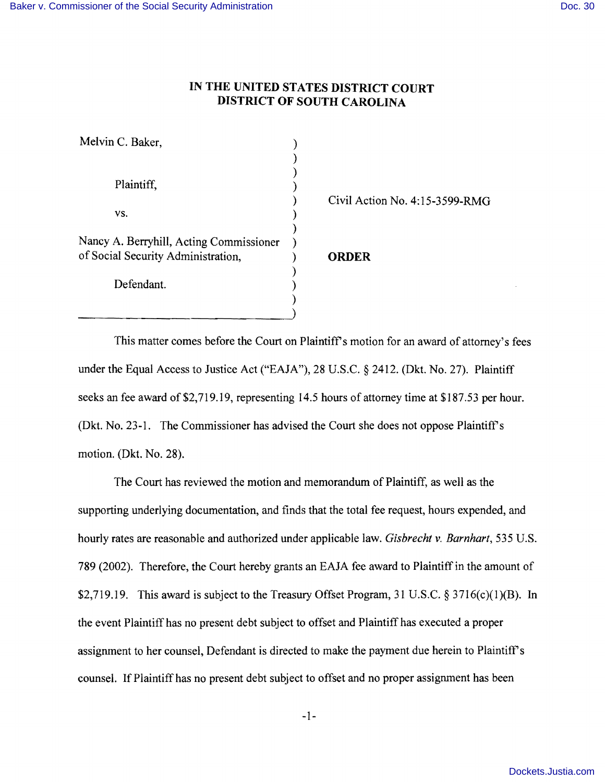## **IN THE UNITED STATES DISTRICT COURT DISTRICT OF SOUTH CAROLINA**

) )

)

)

)

Melvin C. Baker, (1988)

Plaintiff,

 $\mathsf{vs.}$  )

Nancy A. Berryhill, Acting Commissioner ) of Social Security Administration, ) **ORDER** 

Defendant.

) Civil Action No. 4:15-3599-RMG

This matter comes before the Court on Plaintiff's motion for an award of attorney's fees under the Equal Access to Justice Act ("EAJA"), 28 U.S.C. § 2412. (Dkt. No. 27). Plaintiff seeks an fee award of \$2,719.19, representing 14.5 hours of attorney time at \$187.53 per hour. (Dkt. No. 23-1. The Commissioner has advised the Court she does not oppose Plaintiff's motion. (Dkt. No. 28).

The Court has reviewed the motion and memorandum of Plaintiff, as well as the supporting underlying documentation, and finds that the total fee request, hours expended, and hourly rates are reasonable and authorized under applicable law. *Gisbrecht* v. *Barnhart,* 535 U.S. 789 (2002). Therefore, the Court hereby grants an EAJA fee award to Plaintiff in the amount of \$2,719.19. This award is subject to the Treasury Offset Program, 31 U.S.C.  $\S 3716(c)(1)(B)$ . In the event Plaintiff has no present debt subject to offset and Plaintiff has executed a proper assignment to her counsel, Defendant is directed to make the payment due herein to Plaintiff's counsel. If Plaintiff has no present debt subject to offset and no proper assignment has been